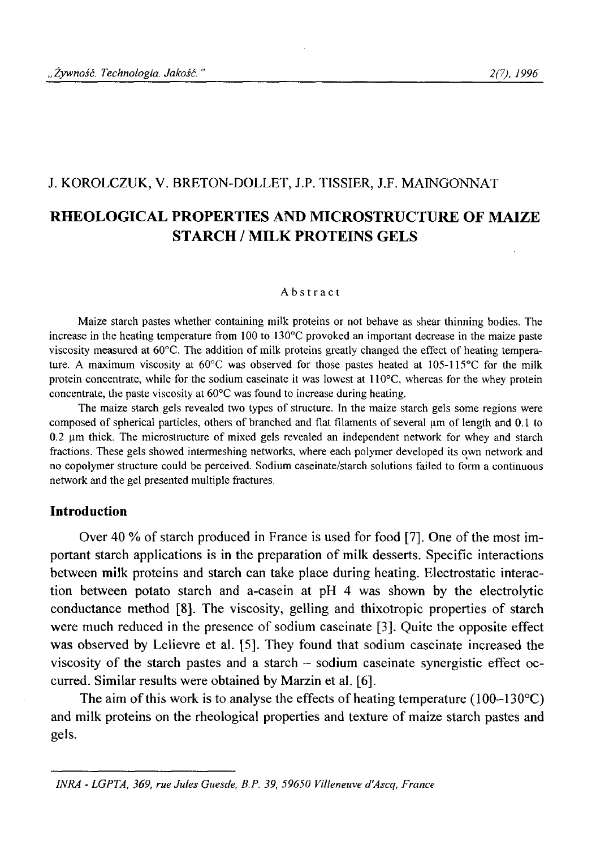#### J. KOROLCZUK, V. BRETON-DOLLET, J.P. TISSIER, J.F. MAINGONNAT

# **RHEOLOGICAL PROPERTIES AND MICROSTRUCTURE OF MAIZE STARCH / MILK PROTEINS GELS**

#### **Abstract**

**Maize starch pastes whether containing milk proteins or not behave as shear thinning bodies. The increase in the heating temperature from 100 to 130°C provoked an important decrease in the maize paste viscosity measured at 60°C. The addition of milk proteins greatly changed the effect of heating temperature. A maximum viscosity at 60°C was observed for those pastes heated at 105-115°C for the milk protein concentrate, while for the sodium caseinate it was lowest at 110°C, whereas for the whey protein concentrate, the paste viscosity at 60°C was found to increase during heating.**

The maize starch gels revealed two types of structure. In the maize starch gels some regions were composed of spherical particles, others of branched and flat filaments of several  $\mu$ m of length and 0.1 to 0.2  $\mu$ m thick. The microstructure of mixed gels revealed an independent network for whey and starch **fractions. These gels showed intermeshing networks, where each polymer developed its own network and no copolymer structure could be perceived. Sodium caseinate/starch solutions failed to form a continuous network and the gel presented multiple fractures.**

### **Introduction**

Over 40 % of starch produced in France is used for food [7]. One of the most important starch applications is in the preparation of milk desserts. Specific interactions between milk proteins and starch can take place during heating. Electrostatic interaction between potato starch and a-casein at pH 4 was shown by the electrolytic conductance method [8]. The viscosity, gelling and thixotropic properties of starch were much reduced in the presence of sodium caseinate [3]. Quite the opposite effect was observed by Lelievre et al. [5]. They found that sodium caseinate increased the viscosity of the starch pastes and a starch - sodium caseinate synergistic effect occurred. Similar results were obtained by Marzin et al. [6].

The aim of this work is to analyse the effects of heating temperature  $(100-130^{\circ}C)$ and milk proteins on the rheological properties and texture of maize starch pastes and gels.

*INRA - LGPTA, 369, rue Jules Guesde, B.P. 39, 59650 Villeneuve d'Ascq, France*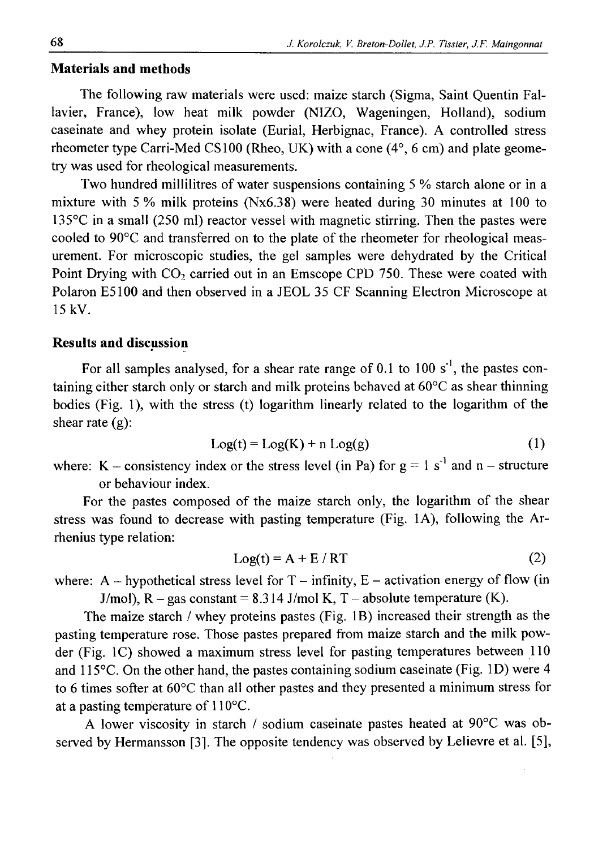## **Materials and methods**

The following raw materials were used: maize starch (Sigma, Saint Quentin Fallavier, France), low heat milk powder (NIZO, Wageningen, Holland), sodium caseinate and whey protein isolate (Eurial, Herbignac, France). A controlled stress rheometer type Carri-Med CS100 (Rheo, UK) with a cone (4°, 6 cm) and plate geometry was used for rheological measurements.

Two hundred millilitres of water suspensions containing 5 % starch alone or in a mixture with 5 % milk proteins (Nx6.38) were heated during 30 minutes at 100 to 135°C in a small (250 ml) reactor vessel with magnetic stirring. Then the pastes were cooled to 90°C and transferred on to the plate of the rheometer for rheological measurement. For microscopic studies, the gel samples were dehydrated by the Critical Point Drying with  $CO<sub>2</sub>$  carried out in an Emscope CPD 750. These were coated with Polaron E5100 and then observed in a JEOL 35 CF Scanning Electron Microscope at 15 kV.

#### **Results and discussion**

For all samples analysed, for a shear rate range of 0.1 to  $100 \text{ s}^{-1}$ , the pastes containing either starch only or starch and milk proteins behaved at 60°C as shear thinning bodies (Fig. 1), with the stress (t) logarithm linearly related to the logarithm of the shear rate  $(g)$ :

$$
Log(t) = Log(K) + n Log(g)
$$
 (1)

where: K – consistency index or the stress level (in Pa) for  $g = 1$  s<sup>-1</sup> and n – structure or behaviour index.

For the pastes composed of the maize starch only, the logarithm of the shear stress was found to decrease with pasting temperature (Fig. 1A), following the Arrhenius type relation:

$$
Log(t) = A + E / RT
$$
 (2)

where:  $A$  – hypothetical stress level for  $T$  – infinity,  $E$  – activation energy of flow (in J/mol),  $R - gas constant = 8.314$  J/mol K, T - absolute temperature (K).

The maize starch / whey proteins pastes (Fig. IB) increased their strength as the pasting temperature rose. Those pastes prepared from maize starch and the milk powder (Fig. 1C) showed a maximum stress level for pasting temperatures between 110 and 115°C. On the other hand, the pastes containing sodium caseinate (Fig. ID) were 4 to 6 times softer at 60°C than all other pastes and they presented a minimum stress for at a pasting temperature of 110°C.

A lower viscosity in starch / sodium caseinate pastes heated at 90°C was observed by Hermansson [3]. The opposite tendency was observed by Lelievre et al. [5],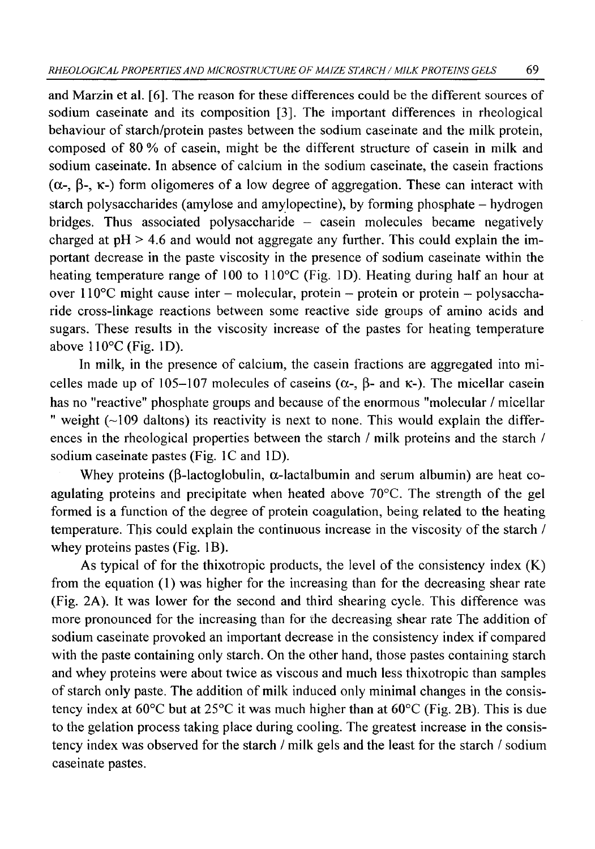and Marzin et al. [6]. The reason for these differences could be the different sources of sodium caseinate and its composition [3]. The important differences in rheological behaviour of starch/protein pastes between the sodium caseinate and the milk protein, composed of 80 *%* of casein, might be the different structure of casein in milk and sodium caseinate. In absence of calcium in the sodium caseinate, the casein fractions  $(\alpha_{\text{-}}$ ,  $\beta_{\text{-}}$ ,  $\kappa_{\text{-}}$  form oligomeres of a low degree of aggregation. These can interact with starch polysaccharides (amylose and amylopectine), by forming phosphate  $-$  hydrogen bridges. Thus associated polysaccharide  $-$  casein molecules became negatively charged at  $pH > 4.6$  and would not aggregate any further. This could explain the important decrease in the paste viscosity in the presence of sodium caseinate within the heating temperature range of 100 to 110°C (Fig. ID). Heating during half an hour at over  $110^{\circ}$ C might cause inter – molecular, protein – protein or protein – polysaccharide cross-linkage reactions between some reactive side groups of amino acids and sugars. These results in the viscosity increase of the pastes for heating temperature above  $110^{\circ}$ C (Fig. 1D).

In milk, in the presence of calcium, the casein fractions are aggregated into micelles made up of 105-107 molecules of caseins ( $\alpha$ -,  $\beta$ - and  $\kappa$ -). The micellar casein has no "reactive" phosphate groups and because of the enormous "molecular / micellar " weight  $(\sim 109)$  daltons) its reactivity is next to none. This would explain the differences in the rheological properties between the starch / milk proteins and the starch / sodium caseinate pastes (Fig. 1C and ID).

Whey proteins ( $\beta$ -lactoglobulin,  $\alpha$ -lactalbumin and serum albumin) are heat coagulating proteins and precipitate when heated above 70°C. The strength of the gel formed is a function of the degree of protein coagulation, being related to the heating temperature. This could explain the continuous increase in the viscosity of the starch / whey proteins pastes (Fig. IB).

As typical of for the thixotropic products, the level of the consistency index  $(K)$ from the equation (1) was higher for the increasing than for the decreasing shear rate (Fig. 2A). It was lower for the second and third shearing cycle. This difference was more pronounced for the increasing than for the decreasing shear rate The addition of sodium caseinate provoked an important decrease in the consistency index if compared with the paste containing only starch. On the other hand, those pastes containing starch and whey proteins were about twice as viscous and much less thixotropic than samples of starch only paste. The addition of milk induced only minimal changes in the consistency index at  $60^{\circ}$ C but at  $25^{\circ}$ C it was much higher than at  $60^{\circ}$ C (Fig. 2B). This is due to the gelation process taking place during cooling. The greatest increase in the consistency index was observed for the starch / milk gels and the least for the starch / sodium caseinate pastes.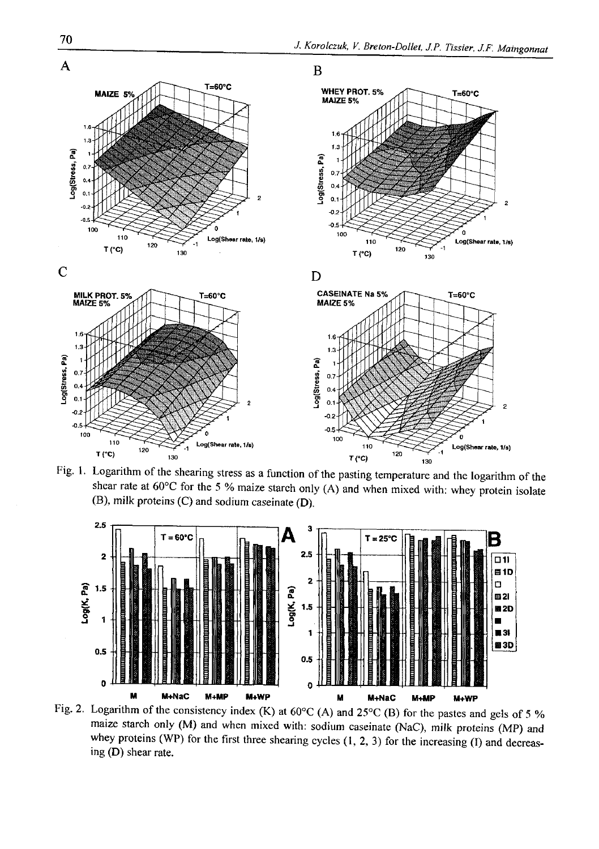

Fig. 1. Logarithm of the shearing stress as a function of the pasting temperature and the logarithm of the **shear rate at 60°C for the 5 % maize starch only (A) and when mixed with: whey protein isolate (B), milk proteins (C) and sodium caseinate (D).**



Fig. 2. Logarithm of the consistency index  $(K)$  at 60<sup>o</sup>C  $(A)$  and 25<sup>o</sup>C  $(B)$  for the pastes and gels of 5  $\%$ **maize starch only (M) and when mixed with: sodium caseinate (NaC), milk proteins (MP) and** whey proteins (WP) for the first three shearing cycles (1, 2, 3) for the increasing (I) and decreas**ing (D) shear rate.**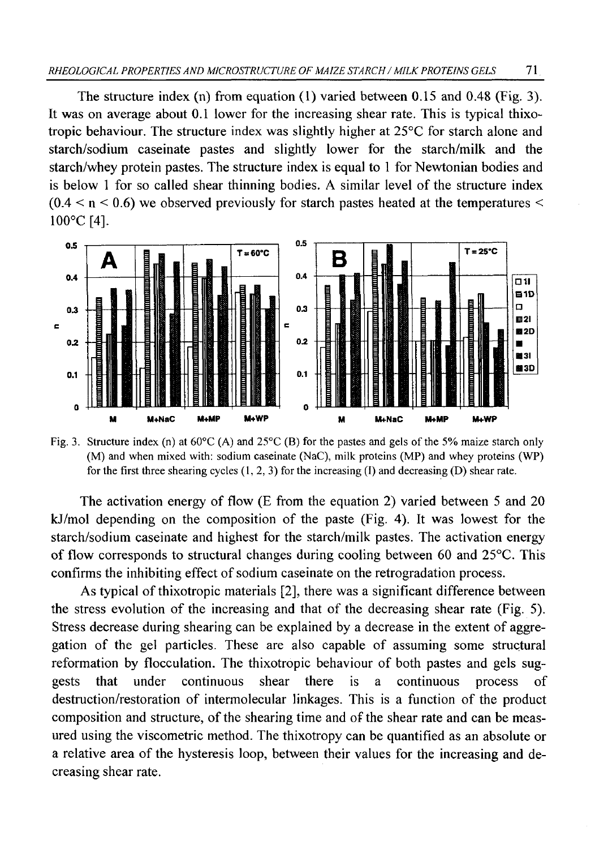The structure index (n) from equation (1) varied between 0.15 and 0.48 (Fig. 3). It was on average about 0.1 lower for the increasing shear rate. This is typical thixotropic behaviour. The structure index was slightly higher at 25°C for starch alone and starch/sodium caseinate pastes and slightly lower for the starch/milk and the starch/whey protein pastes. The structure index is equal to 1 for Newtonian bodies and is below 1 for so called shear thinning bodies. A similar level of the structure index  $(0.4 < n < 0.6)$  we observed previously for starch pastes heated at the temperatures  $\le$ 100°C [4].



**Fig. 3. Structure index (n) at 60°C (A) and 25°C (B) for the pastes and gels o f the 5% maize starch only (M) and when mixed with: sodium caseinate (NaC), milk proteins (MP) and whey proteins (WP) for the first three shearing cycles (1, 2, 3) for the increasing (I) and decreasing (D) shear rate.**

The activation energy of flow (E from the equation 2) varied between 5 and 20 kJ/mol depending on the composition of the paste (Fig. 4). It was lowest for the starch/sodium caseinate and highest for the starch/milk pastes. The activation energy of flow corresponds to structural changes during cooling between 60 and 25°C. This confirms the inhibiting effect of sodium caseinate on the retrogradation process.

As typical of thixotropic materials [2], there was a significant difference between the stress evolution of the increasing and that of the decreasing shear rate (Fig. 5). Stress decrease during shearing can be explained by a decrease in the extent of aggregation of the gel particles. These are also capable of assuming some structural reformation by flocculation. The thixotropic behaviour of both pastes and gels suggests that under continuous shear there is a continuous process of destruction/restoration of intermolecular linkages. This is a function of the product composition and structure, of the shearing time and of the shear rate and can be measured using the viscometric method. The thixotropy can be quantified as an absolute or a relative area of the hysteresis loop, between their values for the increasing and decreasing shear rate.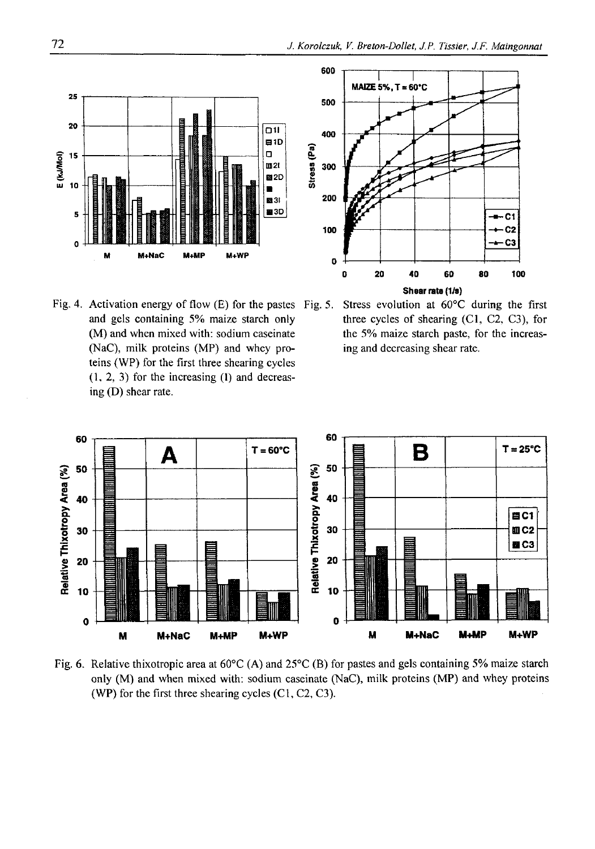

**Fig. 4. Activation energy of flow (E) for the pastes Fig. 5. Stress evolution at 60°C during the first and gels containing 5% maize starch only (M) and when mixed with: sodium caseinate (NaC), milk proteins (MP) and whey proteins (WP) for the first three shearing cycles (1, 2, 3) for the increasing (I) and decreasing (D) shear rate.**



three cycles of shearing (C1, C2, C3), for **the 5% maize starch paste, for the increasing and decreasing shear rate.**



**Fig. 6. Relative thixotropic area at 60°C (A) and 25°C (B) for pastes and gels containing 5% maize starch only (M) and when mixed with: sodium caseinate (NaC), milk proteins (MP) and whey proteins (WP) for the first three shearing cycles (C l, C2, C3).**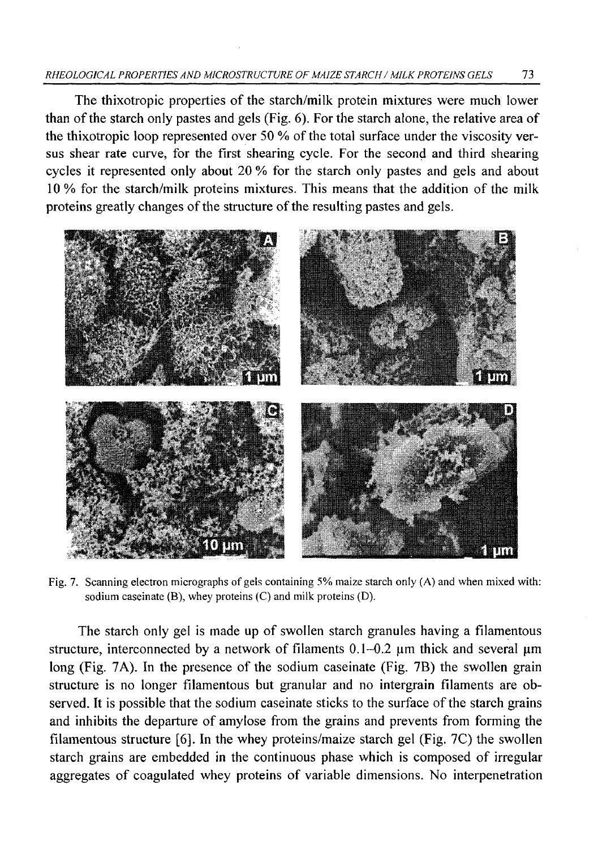## *RHEOLOGICAL PROPERTIES AND MICROSTRUCTURE OF MAIZE STARCH / MILK PROTEINS GELS* 73

The thixotropic properties of the starch/milk protein mixtures were much lower than of the starch only pastes and gels (Fig. 6). For the starch alone, the relative area of the thixotropic loop represented over 50 % of the total surface under the viscosity versus shear rate curve, for the first shearing cycle. For the second and third shearing cycles it represented only about 20 % for the starch only pastes and gels and about 10 % for the starch/milk proteins mixtures. This means that the addition of the milk proteins greatly changes of the structure of the resulting pastes and gels.



**Fig. 7. Scanning electron micrographs of gels containing 5% maize starch only (A) and when mixed with: sodium caseinate (B), whey proteins (C) and milk proteins (D).**

The starch only gel is made up of swollen starch granules having a filamentous structure, interconnected by a network of filaments  $0.1-0.2$  µm thick and several µm long (Fig. 7A). In the presence of the sodium caseinate (Fig. 7B) the swollen grain structure is no longer filamentous but granular and no intergrain filaments are observed. It is possible that the sodium caseinate sticks to the surface of the starch grains and inhibits the departure of amylose from the grains and prevents from forming the filamentous structure [6]. In the whey proteins/maize starch gel (Fig. 7C) the swollen starch grains are embedded in the continuous phase which is composed of irregular aggregates of coagulated whey proteins of variable dimensions. No interpenetration